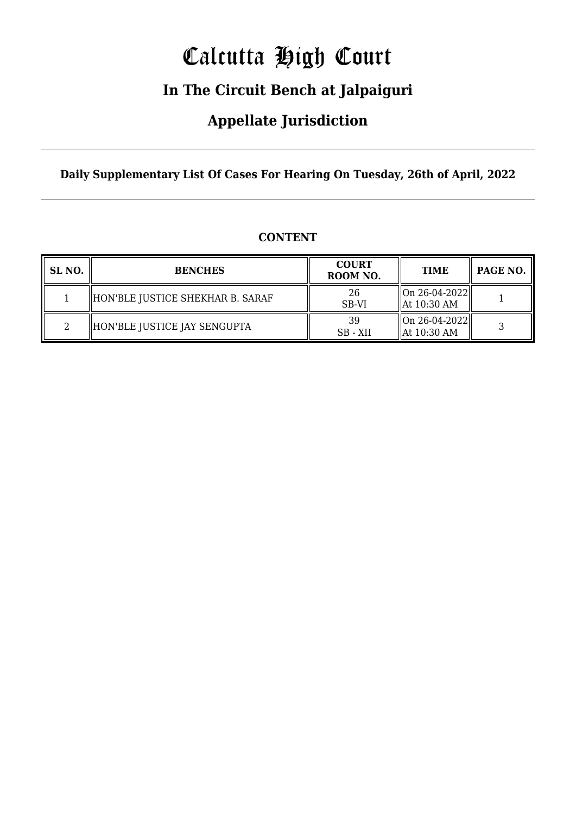# Calcutta High Court

### **In The Circuit Bench at Jalpaiguri**

### **Appellate Jurisdiction**

**Daily Supplementary List Of Cases For Hearing On Tuesday, 26th of April, 2022**

| SL NO. | <b>BENCHES</b>                   | <b>COURT</b><br>ROOM NO. | <b>TIME</b>                                | PAGE NO. |
|--------|----------------------------------|--------------------------|--------------------------------------------|----------|
|        | HON'BLE JUSTICE SHEKHAR B. SARAF | 26<br>SB-VI              | On 26-04-2022  <br>$\parallel$ At 10:30 AM |          |
|        | HON'BLE JUSTICE JAY SENGUPTA     | 39<br>SB - XII           | On 26-04-2022  <br>$\parallel$ At 10:30 AM |          |

#### **CONTENT**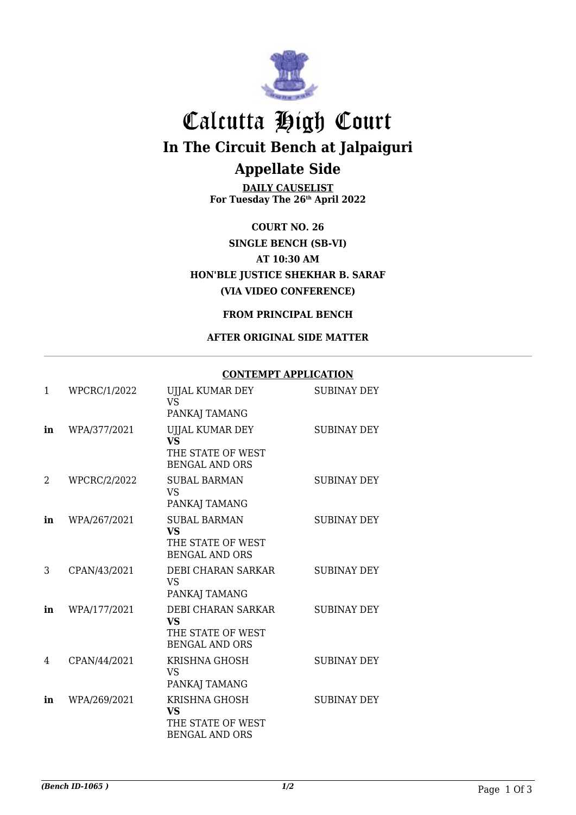

## Calcutta High Court **In The Circuit Bench at Jalpaiguri Appellate Side**

**DAILY CAUSELIST For Tuesday The 26th April 2022**

**COURT NO. 26 SINGLE BENCH (SB-VI) AT 10:30 AM HON'BLE JUSTICE SHEKHAR B. SARAF (VIA VIDEO CONFERENCE)**

#### **FROM PRINCIPAL BENCH**

#### **AFTER ORIGINAL SIDE MATTER**

#### **CONTEMPT APPLICATION**

| $\mathbf{1}$ | WPCRC/1/2022        | UJJAL KUMAR DEY<br><b>VS</b><br>PANKAJ TAMANG                                  | <b>SUBINAY DEY</b> |
|--------------|---------------------|--------------------------------------------------------------------------------|--------------------|
| in           | WPA/377/2021        | UJJAL KUMAR DEY<br><b>VS</b><br>THE STATE OF WEST<br><b>BENGAL AND ORS</b>     | <b>SUBINAY DEY</b> |
| 2            | <b>WPCRC/2/2022</b> | <b>SUBAL BARMAN</b><br><b>VS</b><br>PANKAJ TAMANG                              | <b>SUBINAY DEY</b> |
| in           | WPA/267/2021        | <b>SUBAL BARMAN</b><br><b>VS</b><br>THE STATE OF WEST<br><b>BENGAL AND ORS</b> | <b>SUBINAY DEY</b> |
| 3            | CPAN/43/2021        | DEBI CHARAN SARKAR<br><b>VS</b><br>PANKAJ TAMANG                               | <b>SUBINAY DEY</b> |
| in           | WPA/177/2021        | DEBI CHARAN SARKAR<br><b>VS</b><br>THE STATE OF WEST<br><b>BENGAL AND ORS</b>  | <b>SUBINAY DEY</b> |
| 4            | CPAN/44/2021        | <b>KRISHNA GHOSH</b><br><b>VS</b><br>PANKAJ TAMANG                             | <b>SUBINAY DEY</b> |
| in           | WPA/269/2021        | KRISHNA GHOSH<br><b>VS</b><br>THE STATE OF WEST<br><b>BENGAL AND ORS</b>       | <b>SUBINAY DEY</b> |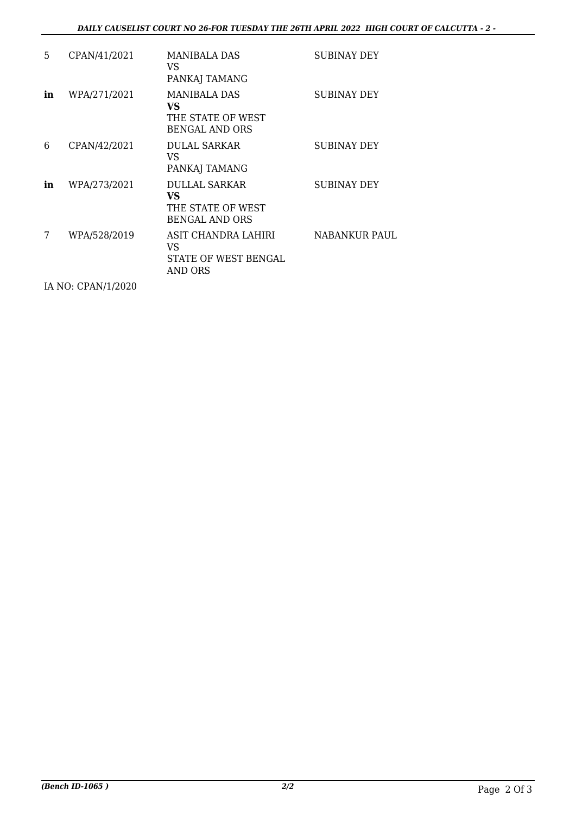#### *DAILY CAUSELIST COURT NO 26-FOR TUESDAY THE 26TH APRIL 2022 HIGH COURT OF CALCUTTA - 2 -*

| 5. | CPAN/41/2021 | <b>MANIBALA DAS</b><br>VS<br>PANKAJ TAMANG                               | <b>SUBINAY DEY</b>   |
|----|--------------|--------------------------------------------------------------------------|----------------------|
| in | WPA/271/2021 | MANIBALA DAS<br>VS.<br>THE STATE OF WEST<br>BENGAL AND ORS               | <b>SUBINAY DEY</b>   |
| 6  | CPAN/42/2021 | <b>DULAL SARKAR</b><br>VS<br>PANKAJ TAMANG                               | SUBINAY DEY          |
| in | WPA/273/2021 | <b>DULLAL SARKAR</b><br>VS<br>THE STATE OF WEST<br><b>BENGAL AND ORS</b> | SUBINAY DEY          |
| 7  | WPA/528/2019 | ASIT CHANDRA LAHIRI<br>VS<br>STATE OF WEST BENGAL<br>AND ORS             | <b>NABANKUR PAUL</b> |
|    |              |                                                                          |                      |

IA NO: CPAN/1/2020